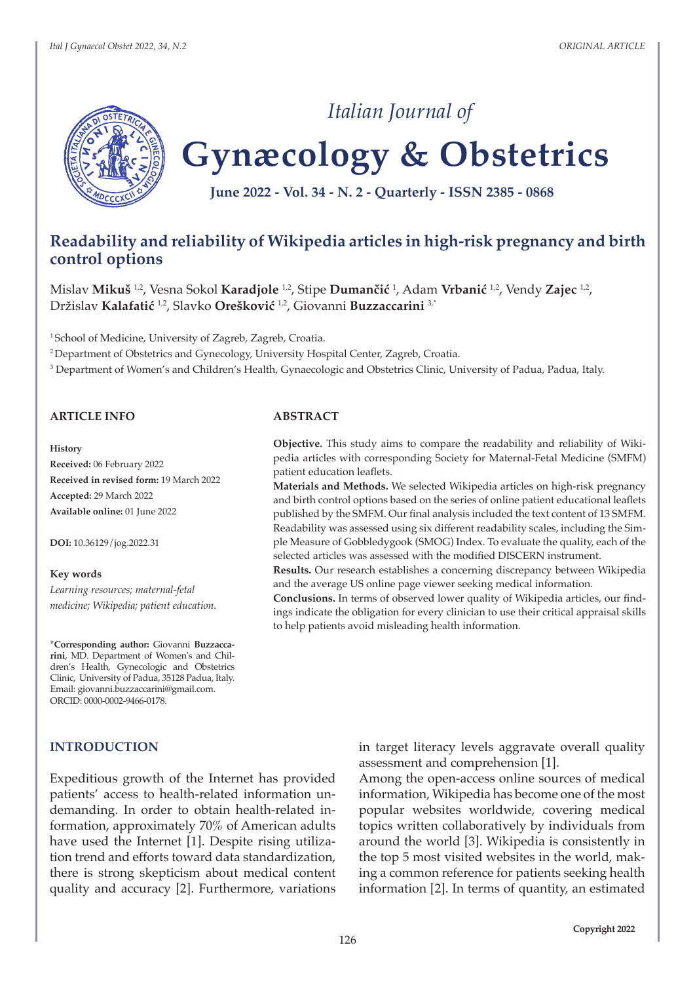

# **Gynæcology & Obstetrics** *Italian Journal of*

**June 2022 - Vol. 34 - N. 2 - Quarterly - ISSN 2385 - 0868**

# **Readability and reliability of Wikipedia articles in high-risk pregnancy and birth control options**

Mislav **Mikuš** 1,2, Vesna Sokol **Karadjole** 1,2, Stipe **Dumančić** <sup>1</sup> , Adam **Vrbanić** 1,2, Vendy **Zajec** 1,2, Držislav **Kalafatić** 1,2, Slavko **Orešković** 1,2, Giovanni **Buzzaccarini** 3,\*

<sup>1</sup> School of Medicine, University of Zagreb, Zagreb, Croatia.

<sup>2</sup>Department of Obstetrics and Gynecology, University Hospital Center, Zagreb, Croatia.

<sup>3</sup> Department of Women's and Children's Health, Gynaecologic and Obstetrics Clinic, University of Padua, Padua, Italy.

#### **ARTICLE INFO**

#### **History**

**Received:** 06 February 2022 **Received in revised form:** 19 March 2022 **Accepted:** 29 March 2022 **Available online:** 01 June 2022

**DOI:** 10.36129/jog.2022.31

#### **Key words**

*Learning resources; maternal-fetal medicine; Wikipedia; patient education.*

**\*Corresponding author:** Giovanni **Buzzaccarini**, MD. Department of Women's and Children's Health, Gynecologic and Obstetrics Clinic, University of Padua, 35128 Padua, Italy. Email: giovanni.buzzaccarini@gmail.com. ORCID: 0000-0002-9466-0178.

## **INTRODUCTION**

Expeditious growth of the Internet has provided patients' access to health-related information undemanding. In order to obtain health-related information, approximately 70% of American adults have used the Internet [1]. Despite rising utilization trend and efforts toward data standardization, there is strong skepticism about medical content quality and accuracy [2]. Furthermore, variations

## **ABSTRACT**

**Objective.** This study aims to compare the readability and reliability of Wikipedia articles with corresponding Society for Maternal-Fetal Medicine (SMFM) patient education leaflets.

**Materials and Methods.** We selected Wikipedia articles on high-risk pregnancy and birth control options based on the series of online patient educational leaflets published by the SMFM. Our final analysis included the text content of 13 SMFM. Readability was assessed using six different readability scales, including the Simple Measure of Gobbledygook (SMOG) Index. To evaluate the quality, each of the selected articles was assessed with the modified DISCERN instrument.

**Results.** Our research establishes a concerning discrepancy between Wikipedia and the average US online page viewer seeking medical information.

**Conclusions.** In terms of observed lower quality of Wikipedia articles, our findings indicate the obligation for every clinician to use their critical appraisal skills to help patients avoid misleading health information.

> in target literacy levels aggravate overall quality assessment and comprehension [1].

> Among the open-access online sources of medical information, Wikipedia has become one of the most popular websites worldwide, covering medical topics written collaboratively by individuals from around the world [3]. Wikipedia is consistently in the top 5 most visited websites in the world, making a common reference for patients seeking health information [2]. In terms of quantity, an estimated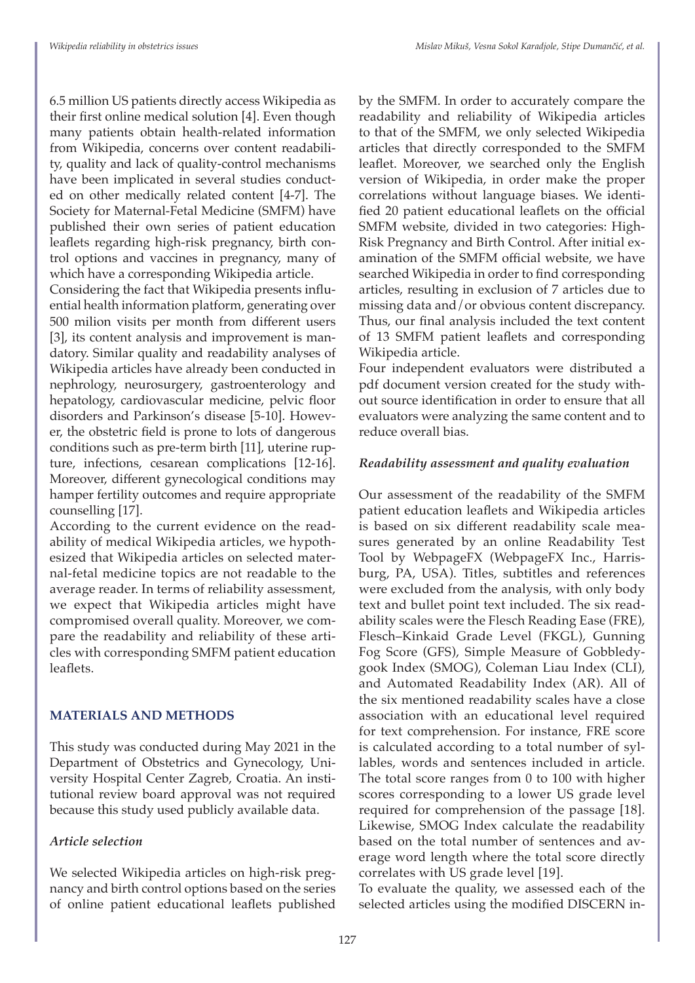6.5 million US patients directly access Wikipedia as their first online medical solution [4]. Even though many patients obtain health-related information from Wikipedia, concerns over content readability, quality and lack of quality-control mechanisms have been implicated in several studies conducted on other medically related content [4-7]. The Society for Maternal-Fetal Medicine (SMFM) have published their own series of patient education leaflets regarding high-risk pregnancy, birth control options and vaccines in pregnancy, many of which have a corresponding Wikipedia article.

Considering the fact that Wikipedia presents influential health information platform, generating over 500 milion visits per month from different users [3], its content analysis and improvement is mandatory. Similar quality and readability analyses of Wikipedia articles have already been conducted in nephrology, neurosurgery, gastroenterology and hepatology, cardiovascular medicine, pelvic floor disorders and Parkinson's disease [5-10]. However, the obstetric field is prone to lots of dangerous conditions such as pre-term birth [11], uterine rupture, infections, cesarean complications [12-16]. Moreover, different gynecological conditions may hamper fertility outcomes and require appropriate counselling [17].

According to the current evidence on the readability of medical Wikipedia articles, we hypothesized that Wikipedia articles on selected maternal-fetal medicine topics are not readable to the average reader. In terms of reliability assessment, we expect that Wikipedia articles might have compromised overall quality. Moreover, we compare the readability and reliability of these articles with corresponding SMFM patient education leaflets.

# **MATERIALS AND METHODS**

This study was conducted during May 2021 in the Department of Obstetrics and Gynecology, University Hospital Center Zagreb, Croatia. An institutional review board approval was not required because this study used publicly available data.

# *Article selection*

We selected Wikipedia articles on high-risk pregnancy and birth control options based on the series of online patient educational leaflets published by the SMFM. In order to accurately compare the readability and reliability of Wikipedia articles to that of the SMFM, we only selected Wikipedia articles that directly corresponded to the SMFM leaflet. Moreover, we searched only the English version of Wikipedia, in order make the proper correlations without language biases. We identified 20 patient educational leaflets on the official SMFM website, divided in two categories: High-Risk Pregnancy and Birth Control. After initial examination of the SMFM official website, we have searched Wikipedia in order to find corresponding articles, resulting in exclusion of 7 articles due to missing data and/or obvious content discrepancy. Thus, our final analysis included the text content of 13 SMFM patient leaflets and corresponding Wikipedia article.

Four independent evaluators were distributed a pdf document version created for the study without source identification in order to ensure that all evaluators were analyzing the same content and to reduce overall bias.

# *Readability assessment and quality evaluation*

Our assessment of the readability of the SMFM patient education leaflets and Wikipedia articles is based on six different readability scale measures generated by an online Readability Test Tool by WebpageFX (WebpageFX Inc., Harrisburg, PA, USA). Titles, subtitles and references were excluded from the analysis, with only body text and bullet point text included. The six readability scales were the Flesch Reading Ease (FRE), Flesch–Kinkaid Grade Level (FKGL), Gunning Fog Score (GFS), Simple Measure of Gobbledygook Index (SMOG), Coleman Liau Index (CLI), and Automated Readability Index (AR). All of the six mentioned readability scales have a close association with an educational level required for text comprehension. For instance, FRE score is calculated according to a total number of syllables, words and sentences included in article. The total score ranges from 0 to 100 with higher scores corresponding to a lower US grade level required for comprehension of the passage [18]. Likewise, SMOG Index calculate the readability based on the total number of sentences and average word length where the total score directly correlates with US grade level [19].

To evaluate the quality, we assessed each of the selected articles using the modified DISCERN in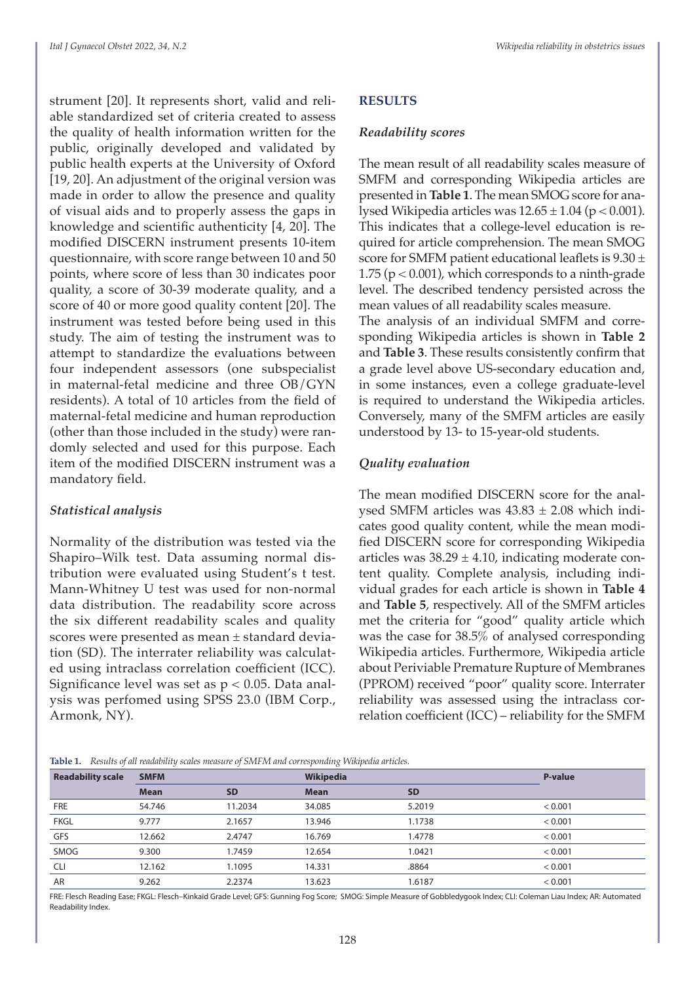strument [20]. It represents short, valid and reliable standardized set of criteria created to assess the quality of health information written for the public, originally developed and validated by public health experts at the University of Oxford [19, 20]. An adjustment of the original version was made in order to allow the presence and quality of visual aids and to properly assess the gaps in knowledge and scientific authenticity [4, 20]. The modified DISCERN instrument presents 10-item questionnaire, with score range between 10 and 50 points, where score of less than 30 indicates poor quality, a score of 30-39 moderate quality, and a score of 40 or more good quality content [20]. The instrument was tested before being used in this study. The aim of testing the instrument was to attempt to standardize the evaluations between four independent assessors (one subspecialist in maternal-fetal medicine and three OB/GYN residents). A total of 10 articles from the field of maternal-fetal medicine and human reproduction (other than those included in the study) were randomly selected and used for this purpose. Each item of the modified DISCERN instrument was a mandatory field.

## *Statistical analysis*

Normality of the distribution was tested via the Shapiro–Wilk test. Data assuming normal distribution were evaluated using Student's t test. Mann-Whitney U test was used for non-normal data distribution. The readability score across the six different readability scales and quality scores were presented as mean ± standard deviation (SD). The interrater reliability was calculated using intraclass correlation coefficient (ICC). Significance level was set as  $p < 0.05$ . Data analysis was perfomed using SPSS 23.0 (IBM Corp., Armonk, NY).

# **RESULTS**

### *Readability scores*

The mean result of all readability scales measure of SMFM and corresponding Wikipedia articles are presented in **Table 1**. The mean SMOG score for analysed Wikipedia articles was  $12.65 \pm 1.04$  (p < 0.001). This indicates that a college-level education is required for article comprehension. The mean SMOG score for SMFM patient educational leaflets is  $9.30 \pm$ 1.75 ( $p < 0.001$ ), which corresponds to a ninth-grade level. The described tendency persisted across the mean values of all readability scales measure. The analysis of an individual SMFM and corre-

sponding Wikipedia articles is shown in **Table 2** and **Table 3**. These results consistently confirm that a grade level above US-secondary education and, in some instances, even a college graduate-level is required to understand the Wikipedia articles. Conversely, many of the SMFM articles are easily understood by 13- to 15-year-old students.

# *Quality evaluation*

The mean modified DISCERN score for the analysed SMFM articles was  $43.83 \pm 2.08$  which indicates good quality content, while the mean modified DISCERN score for corresponding Wikipedia articles was  $38.29 \pm 4.10$ , indicating moderate content quality. Complete analysis, including individual grades for each article is shown in **Table 4** and **Table 5**, respectively. All of the SMFM articles met the criteria for "good" quality article which was the case for 38.5% of analysed corresponding Wikipedia articles. Furthermore, Wikipedia article about Periviable Premature Rupture of Membranes (PPROM) received "poor" quality score. Interrater reliability was assessed using the intraclass correlation coefficient (ICC) – reliability for the SMFM

**Table 1.** *Results of all readability scales measure of SMFM and corresponding Wikipedia articles.*

| <b>Readability scale</b> | <b>SMFM</b> |           | Wikipedia   | P-value   |         |  |  |  |
|--------------------------|-------------|-----------|-------------|-----------|---------|--|--|--|
|                          | <b>Mean</b> | <b>SD</b> | <b>Mean</b> | <b>SD</b> |         |  |  |  |
| <b>FRE</b>               | 54.746      | 11.2034   | 34.085      | 5.2019    | < 0.001 |  |  |  |
| <b>FKGL</b>              | 9.777       | 2.1657    | 13.946      | 1.1738    | < 0.001 |  |  |  |
| GFS                      | 12.662      | 2.4747    | 16.769      | 1.4778    | < 0.001 |  |  |  |
| SMOG                     | 9.300       | 1.7459    | 12.654      | 1.0421    | < 0.001 |  |  |  |
| <b>CLI</b>               | 12.162      | 1.1095    | 14.331      | .8864     | < 0.001 |  |  |  |
| AR                       | 9.262       | 2.2374    | 13.623      | 1.6187    | < 0.001 |  |  |  |

FRE: Flesch Reading Ease; FKGL: Flesch–Kinkaid Grade Level; GFS: Gunning Fog Score; SMOG: Simple Measure of Gobbledygook Index; CLI: Coleman Liau Index; AR: Automated Readability Index.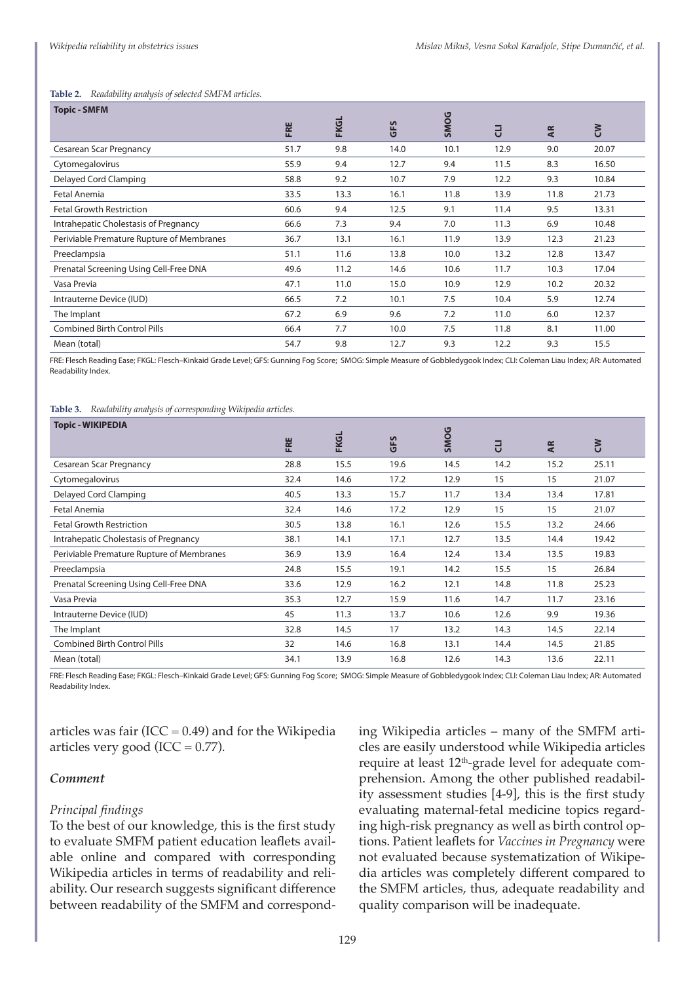#### **Table 2.** *Readability analysis of selected SMFM articles.*

| <b>Topic - SMFM</b>                       |      |             |      |             |      |           |       |
|-------------------------------------------|------|-------------|------|-------------|------|-----------|-------|
|                                           | FRE  | <b>FKGL</b> | GFS  | <b>SMOG</b> | J    | <b>AR</b> | š     |
| <b>Cesarean Scar Pregnancy</b>            | 51.7 | 9.8         | 14.0 | 10.1        | 12.9 | 9.0       | 20.07 |
| Cytomegalovirus                           | 55.9 | 9.4         | 12.7 | 9.4         | 11.5 | 8.3       | 16.50 |
| Delayed Cord Clamping                     | 58.8 | 9.2         | 10.7 | 7.9         | 12.2 | 9.3       | 10.84 |
| Fetal Anemia                              | 33.5 | 13.3        | 16.1 | 11.8        | 13.9 | 11.8      | 21.73 |
| <b>Fetal Growth Restriction</b>           | 60.6 | 9.4         | 12.5 | 9.1         | 11.4 | 9.5       | 13.31 |
| Intrahepatic Cholestasis of Pregnancy     | 66.6 | 7.3         | 9.4  | 7.0         | 11.3 | 6.9       | 10.48 |
| Periviable Premature Rupture of Membranes | 36.7 | 13.1        | 16.1 | 11.9        | 13.9 | 12.3      | 21.23 |
| Preeclampsia                              | 51.1 | 11.6        | 13.8 | 10.0        | 13.2 | 12.8      | 13.47 |
| Prenatal Screening Using Cell-Free DNA    | 49.6 | 11.2        | 14.6 | 10.6        | 11.7 | 10.3      | 17.04 |
| Vasa Previa                               | 47.1 | 11.0        | 15.0 | 10.9        | 12.9 | 10.2      | 20.32 |
| Intrauterne Device (IUD)                  | 66.5 | 7.2         | 10.1 | 7.5         | 10.4 | 5.9       | 12.74 |
| The Implant                               | 67.2 | 6.9         | 9.6  | 7.2         | 11.0 | 6.0       | 12.37 |
| <b>Combined Birth Control Pills</b>       | 66.4 | 7.7         | 10.0 | 7.5         | 11.8 | 8.1       | 11.00 |
| Mean (total)                              | 54.7 | 9.8         | 12.7 | 9.3         | 12.2 | 9.3       | 15.5  |

FRE: Flesch Reading Ease; FKGL: Flesch–Kinkaid Grade Level; GFS: Gunning Fog Score; SMOG: Simple Measure of Gobbledygook Index; CLI: Coleman Liau Index; AR: Automated Readability Index.

#### **Table 3.** *Readability analysis of corresponding Wikipedia articles.*

| <b>Topic - WIKIPEDIA</b>                  |      |             |      |             |      |      |       |
|-------------------------------------------|------|-------------|------|-------------|------|------|-------|
|                                           | FRE  | <b>FKGL</b> | GFS  | <b>SMOG</b> | 긍    | Æ    | š     |
| Cesarean Scar Pregnancy                   | 28.8 | 15.5        | 19.6 | 14.5        | 14.2 | 15.2 | 25.11 |
| Cytomegalovirus                           | 32.4 | 14.6        | 17.2 | 12.9        | 15   | 15   | 21.07 |
| Delayed Cord Clamping                     | 40.5 | 13.3        | 15.7 | 11.7        | 13.4 | 13.4 | 17.81 |
| Fetal Anemia                              | 32.4 | 14.6        | 17.2 | 12.9        | 15   | 15   | 21.07 |
| <b>Fetal Growth Restriction</b>           | 30.5 | 13.8        | 16.1 | 12.6        | 15.5 | 13.2 | 24.66 |
| Intrahepatic Cholestasis of Pregnancy     | 38.1 | 14.1        | 17.1 | 12.7        | 13.5 | 14.4 | 19.42 |
| Periviable Premature Rupture of Membranes | 36.9 | 13.9        | 16.4 | 12.4        | 13.4 | 13.5 | 19.83 |
| Preeclampsia                              | 24.8 | 15.5        | 19.1 | 14.2        | 15.5 | 15   | 26.84 |
| Prenatal Screening Using Cell-Free DNA    | 33.6 | 12.9        | 16.2 | 12.1        | 14.8 | 11.8 | 25.23 |
| Vasa Previa                               | 35.3 | 12.7        | 15.9 | 11.6        | 14.7 | 11.7 | 23.16 |
| Intrauterne Device (IUD)                  | 45   | 11.3        | 13.7 | 10.6        | 12.6 | 9.9  | 19.36 |
| The Implant                               | 32.8 | 14.5        | 17   | 13.2        | 14.3 | 14.5 | 22.14 |
| <b>Combined Birth Control Pills</b>       | 32   | 14.6        | 16.8 | 13.1        | 14.4 | 14.5 | 21.85 |
| Mean (total)                              | 34.1 | 13.9        | 16.8 | 12.6        | 14.3 | 13.6 | 22.11 |

FRE: Flesch Reading Ease; FKGL: Flesch–Kinkaid Grade Level; GFS: Gunning Fog Score; SMOG: Simple Measure of Gobbledygook Index; CLI: Coleman Liau Index; AR: Automated Readability Index.

articles was fair (ICC =  $0.49$ ) and for the Wikipedia articles very good (ICC =  $0.77$ ).

#### *Comment*

### *Principal findings*

To the best of our knowledge, this is the first study to evaluate SMFM patient education leaflets available online and compared with corresponding Wikipedia articles in terms of readability and reliability. Our research suggests significant difference between readability of the SMFM and corresponding Wikipedia articles – many of the SMFM articles are easily understood while Wikipedia articles require at least  $12<sup>th</sup>$ -grade level for adequate comprehension. Among the other published readability assessment studies [4-9], this is the first study evaluating maternal-fetal medicine topics regarding high-risk pregnancy as well as birth control options. Patient leaflets for *Vaccines in Pregnancy* were not evaluated because systematization of Wikipedia articles was completely different compared to the SMFM articles, thus, adequate readability and quality comparison will be inadequate.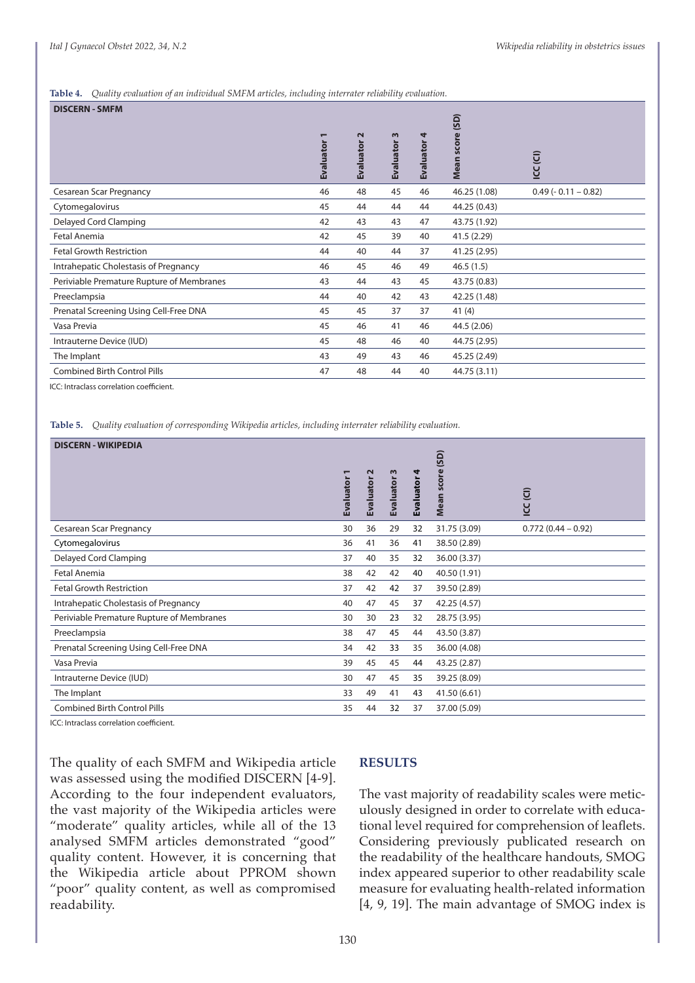#### **Table 4.** *Quality evaluation of an individual SMFM articles, including interrater reliability evaluation.*

| Evaluator | $\sim$<br><b>Evaluator</b> | $\mathsf{m}$<br>Evaluator | 4<br><b>Evaluator</b> | score<br><b>Mean</b> | ICC(CI)            |
|-----------|----------------------------|---------------------------|-----------------------|----------------------|--------------------|
| 46        | 48                         | 45                        | 46                    | 46.25 (1.08)         | $0.49(-0.11-0.82)$ |
| 45        | 44                         | 44                        | 44                    | 44.25 (0.43)         |                    |
| 42        | 43                         | 43                        | 47                    | 43.75 (1.92)         |                    |
| 42        | 45                         | 39                        | 40                    | 41.5(2.29)           |                    |
| 44        | 40                         | 44                        | 37                    | 41.25 (2.95)         |                    |
| 46        | 45                         | 46                        | 49                    | 46.5(1.5)            |                    |
| 43        | 44                         | 43                        | 45                    | 43.75 (0.83)         |                    |
| 44        | 40                         | 42                        | 43                    | 42.25 (1.48)         |                    |
| 45        | 45                         | 37                        | 37                    | 41(4)                |                    |
| 45        | 46                         | 41                        | 46                    | 44.5 (2.06)          |                    |
| 45        | 48                         | 46                        | 40                    | 44.75 (2.95)         |                    |
| 43        | 49                         | 43                        | 46                    | 45.25 (2.49)         |                    |
| 47        | 48                         | 44                        | 40                    | 44.75 (3.11)         |                    |
|           |                            |                           |                       |                      | (SD)               |

ICC: Intraclass correlation coefficient.

**Table 5.** *Quality evaluation of corresponding Wikipedia articles, including interrater reliability evaluation.*

| <b>DISCERN - WIKIPEDIA</b>                |           |                   |           |           |              |                        |
|-------------------------------------------|-----------|-------------------|-----------|-----------|--------------|------------------------|
|                                           |           |                   |           |           | (SD)         |                        |
|                                           |           | $\mathbf{\Omega}$ | $\omega$  |           | ore          |                        |
|                                           | Evaluator | Evaluator         | Evaluator | Evaluator |              | $\widehat{\mathsf{G}}$ |
|                                           |           |                   |           |           | Š            | <u>y</u>               |
| Cesarean Scar Pregnancy                   | 30        | 36                | 29        | 32        | 31.75 (3.09) | $0.772(0.44 - 0.92)$   |
| Cytomegalovirus                           | 36        | 41                | 36        | 41        | 38.50 (2.89) |                        |
| Delayed Cord Clamping                     | 37        | 40                | 35        | 32        | 36.00 (3.37) |                        |
| Fetal Anemia                              | 38        | 42                | 42        | 40        | 40.50 (1.91) |                        |
| <b>Fetal Growth Restriction</b>           | 37        | 42                | 42        | 37        | 39.50 (2.89) |                        |
| Intrahepatic Cholestasis of Pregnancy     | 40        | 47                | 45        | 37        | 42.25 (4.57) |                        |
| Periviable Premature Rupture of Membranes | 30        | 30                | 23        | 32        | 28.75 (3.95) |                        |
| Preeclampsia                              | 38        | 47                | 45        | 44        | 43.50 (3.87) |                        |
| Prenatal Screening Using Cell-Free DNA    | 34        | 42                | 33        | 35        | 36.00 (4.08) |                        |
| Vasa Previa                               | 39        | 45                | 45        | 44        | 43.25 (2.87) |                        |
| Intrauterne Device (IUD)                  | 30        | 47                | 45        | 35        | 39.25 (8.09) |                        |
| The Implant                               | 33        | 49                | 41        | 43        | 41.50 (6.61) |                        |
| <b>Combined Birth Control Pills</b>       | 35        | 44                | 32        | 37        | 37.00 (5.09) |                        |

ICC: Intraclass correlation coefficient.

The quality of each SMFM and Wikipedia article was assessed using the modified DISCERN [4-9]. According to the four independent evaluators, the vast majority of the Wikipedia articles were "moderate" quality articles, while all of the 13 analysed SMFM articles demonstrated "good" quality content. However, it is concerning that the Wikipedia article about PPROM shown "poor" quality content, as well as compromised readability.

#### **RESULTS**

The vast majority of readability scales were meticulously designed in order to correlate with educational level required for comprehension of leaflets. Considering previously publicated research on the readability of the healthcare handouts, SMOG index appeared superior to other readability scale measure for evaluating health-related information [4, 9, 19]. The main advantage of SMOG index is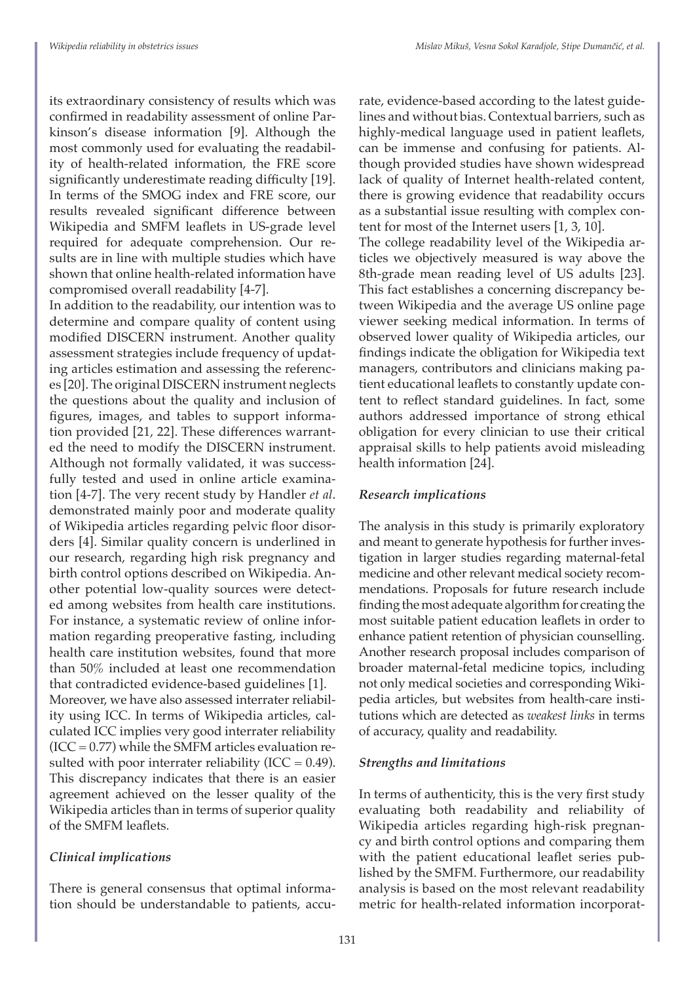its extraordinary consistency of results which was confirmed in readability assessment of online Parkinson's disease information [9]. Although the most commonly used for evaluating the readability of health-related information, the FRE score significantly underestimate reading difficulty [19]. In terms of the SMOG index and FRE score, our results revealed significant difference between Wikipedia and SMFM leaflets in US-grade level required for adequate comprehension. Our results are in line with multiple studies which have shown that online health-related information have compromised overall readability [4-7].

In addition to the readability, our intention was to determine and compare quality of content using modified DISCERN instrument. Another quality assessment strategies include frequency of updating articles estimation and assessing the references [20]. The original DISCERN instrument neglects the questions about the quality and inclusion of figures, images, and tables to support information provided [21, 22]. These differences warranted the need to modify the DISCERN instrument. Although not formally validated, it was successfully tested and used in online article examination [4-7]. The very recent study by Handler *et al*. demonstrated mainly poor and moderate quality of Wikipedia articles regarding pelvic floor disorders [4]. Similar quality concern is underlined in our research, regarding high risk pregnancy and birth control options described on Wikipedia. Another potential low-quality sources were detected among websites from health care institutions. For instance, a systematic review of online information regarding preoperative fasting, including health care institution websites, found that more than 50% included at least one recommendation that contradicted evidence-based guidelines [1]. Moreover, we have also assessed interrater reliability using ICC. In terms of Wikipedia articles, calculated ICC implies very good interrater reliability  $(ICC = 0.77)$  while the SMFM articles evaluation resulted with poor interrater reliability (ICC =  $0.49$ ). This discrepancy indicates that there is an easier agreement achieved on the lesser quality of the Wikipedia articles than in terms of superior quality of the SMFM leaflets.

# *Clinical implications*

There is general consensus that optimal information should be understandable to patients, accurate, evidence-based according to the latest guidelines and without bias. Contextual barriers, such as highly-medical language used in patient leaflets, can be immense and confusing for patients. Although provided studies have shown widespread lack of quality of Internet health-related content, there is growing evidence that readability occurs as a substantial issue resulting with complex content for most of the Internet users [1, 3, 10].

The college readability level of the Wikipedia articles we objectively measured is way above the 8th-grade mean reading level of US adults [23]. This fact establishes a concerning discrepancy between Wikipedia and the average US online page viewer seeking medical information. In terms of observed lower quality of Wikipedia articles, our findings indicate the obligation for Wikipedia text managers, contributors and clinicians making patient educational leaflets to constantly update content to reflect standard guidelines. In fact, some authors addressed importance of strong ethical obligation for every clinician to use their critical appraisal skills to help patients avoid misleading health information [24].

# *Research implications*

The analysis in this study is primarily exploratory and meant to generate hypothesis for further investigation in larger studies regarding maternal-fetal medicine and other relevant medical society recommendations. Proposals for future research include finding the most adequate algorithm for creating the most suitable patient education leaflets in order to enhance patient retention of physician counselling. Another research proposal includes comparison of broader maternal-fetal medicine topics, including not only medical societies and corresponding Wikipedia articles, but websites from health-care institutions which are detected as *weakest links* in terms of accuracy, quality and readability.

# *Strengths and limitations*

In terms of authenticity, this is the very first study evaluating both readability and reliability of Wikipedia articles regarding high-risk pregnancy and birth control options and comparing them with the patient educational leaflet series published by the SMFM. Furthermore, our readability analysis is based on the most relevant readability metric for health-related information incorporat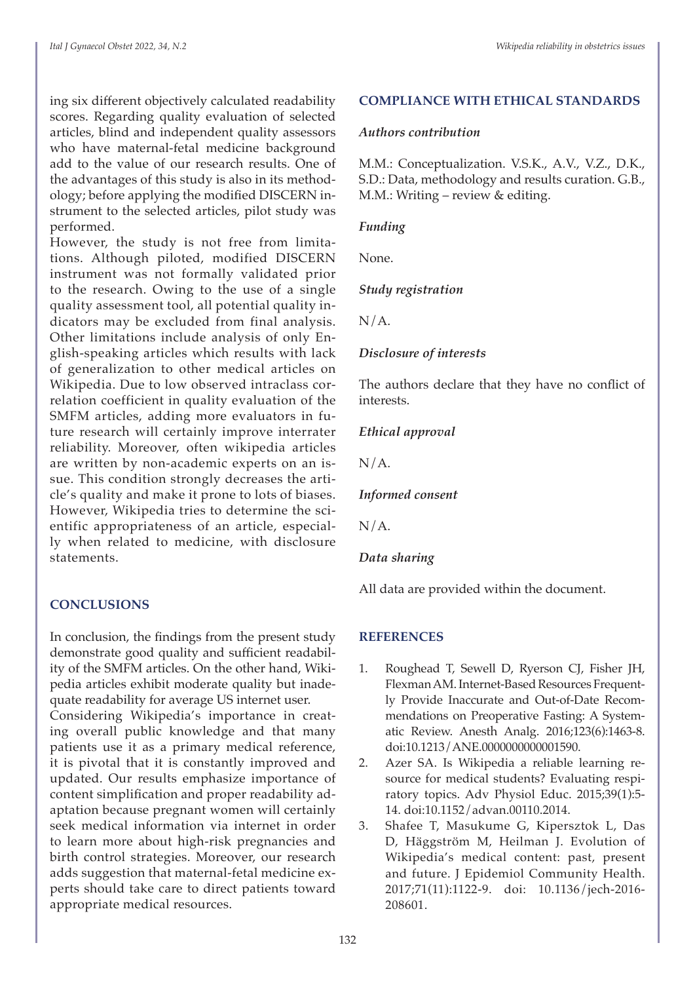ing six different objectively calculated readability scores. Regarding quality evaluation of selected articles, blind and independent quality assessors who have maternal-fetal medicine background add to the value of our research results. One of the advantages of this study is also in its methodology; before applying the modified DISCERN instrument to the selected articles, pilot study was performed.

However, the study is not free from limitations. Although piloted, modified DISCERN instrument was not formally validated prior to the research. Owing to the use of a single quality assessment tool, all potential quality indicators may be excluded from final analysis. Other limitations include analysis of only English-speaking articles which results with lack of generalization to other medical articles on Wikipedia. Due to low observed intraclass correlation coefficient in quality evaluation of the SMFM articles, adding more evaluators in future research will certainly improve interrater reliability. Moreover, often wikipedia articles are written by non-academic experts on an issue. This condition strongly decreases the article's quality and make it prone to lots of biases. However, Wikipedia tries to determine the scientific appropriateness of an article, especially when related to medicine, with disclosure statements.

# **CONCLUSIONS**

In conclusion, the findings from the present study demonstrate good quality and sufficient readability of the SMFM articles. On the other hand, Wikipedia articles exhibit moderate quality but inadequate readability for average US internet user. Considering Wikipedia's importance in creating overall public knowledge and that many patients use it as a primary medical reference, it is pivotal that it is constantly improved and updated. Our results emphasize importance of content simplification and proper readability adaptation because pregnant women will certainly seek medical information via internet in order to learn more about high-risk pregnancies and birth control strategies. Moreover, our research adds suggestion that maternal-fetal medicine experts should take care to direct patients toward appropriate medical resources.

# **COMPLIANCE WITH ETHICAL STANDARDS**

# *Authors contribution*

M.M.: Conceptualization. V.S.K., A.V., V.Z., D.K., S.D.: Data, methodology and results curation. G.B., M.M.: Writing – review & editing.

# *Funding*

None.

# *Study registration*

 $N/A$ .

# *Disclosure of interests*

The authors declare that they have no conflict of interests.

*Ethical approval*

 $N/A$ .

*Informed consent*

 $N/A$ .

# *Data sharing*

All data are provided within the document.

# **REFERENCES**

- 1. Roughead T, Sewell D, Ryerson CJ, Fisher JH, Flexman AM. Internet-Based Resources Frequently Provide Inaccurate and Out-of-Date Recommendations on Preoperative Fasting: A Systematic Review. Anesth Analg. 2016;123(6):1463-8. doi:10.1213/ANE.0000000000001590.
- 2. Azer SA. Is Wikipedia a reliable learning resource for medical students? Evaluating respiratory topics. Adv Physiol Educ. 2015;39(1):5- 14. doi:10.1152/advan.00110.2014.
- 3. Shafee T, Masukume G, Kipersztok L, Das D, Häggström M, Heilman J. Evolution of Wikipedia's medical content: past, present and future. J Epidemiol Community Health. 2017;71(11):1122-9. doi: 10.1136/jech-2016- 208601.